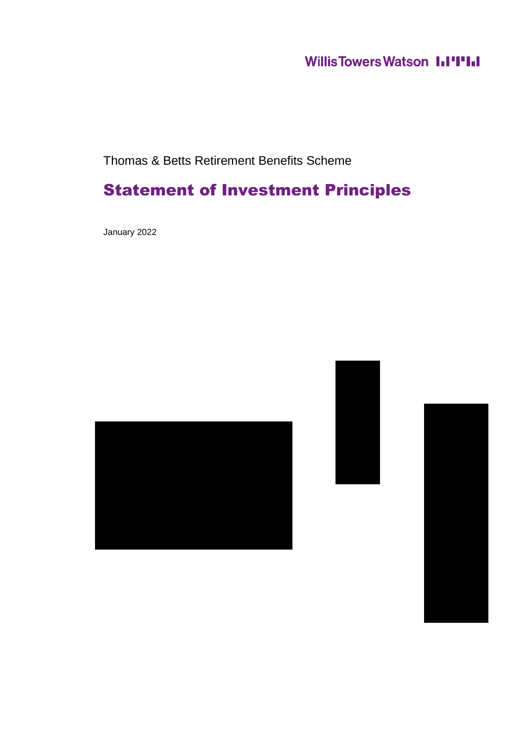### **Willis Towers Watson I.I'I'I.I**

Thomas & Betts Retirement Benefits Scheme

### Statement of Investment Principles

January 2022





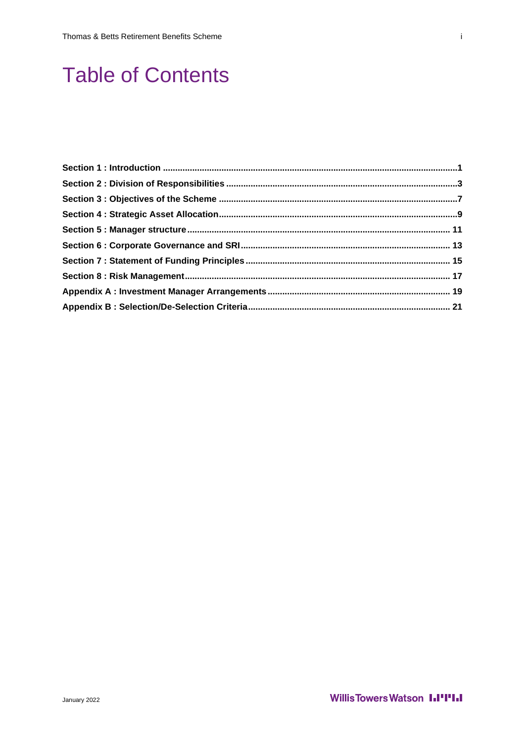### **Table of Contents**

January 2022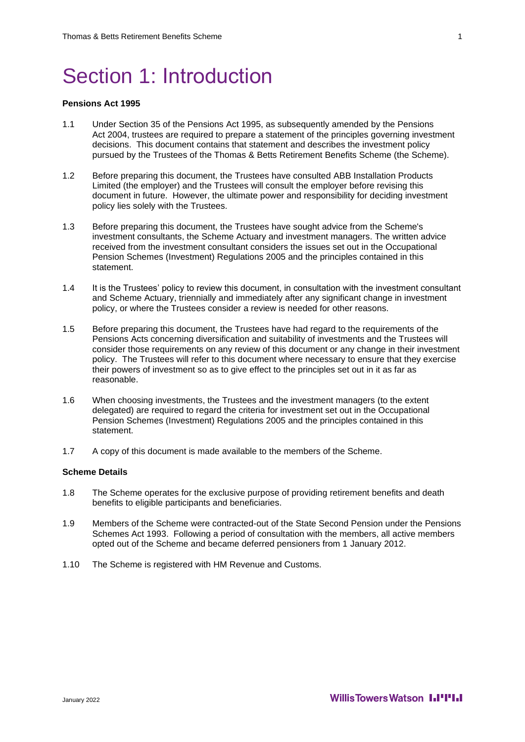### Section 1: Introduction

#### **Pensions Act 1995**

- 1.1 Under Section 35 of the Pensions Act 1995, as subsequently amended by the Pensions Act 2004, trustees are required to prepare a statement of the principles governing investment decisions. This document contains that statement and describes the investment policy pursued by the Trustees of the Thomas & Betts Retirement Benefits Scheme (the Scheme).
- 1.2 Before preparing this document, the Trustees have consulted ABB Installation Products Limited (the employer) and the Trustees will consult the employer before revising this document in future. However, the ultimate power and responsibility for deciding investment policy lies solely with the Trustees.
- 1.3 Before preparing this document, the Trustees have sought advice from the Scheme's investment consultants, the Scheme Actuary and investment managers. The written advice received from the investment consultant considers the issues set out in the Occupational Pension Schemes (Investment) Regulations 2005 and the principles contained in this statement.
- 1.4 It is the Trustees' policy to review this document, in consultation with the investment consultant and Scheme Actuary, triennially and immediately after any significant change in investment policy, or where the Trustees consider a review is needed for other reasons.
- 1.5 Before preparing this document, the Trustees have had regard to the requirements of the Pensions Acts concerning diversification and suitability of investments and the Trustees will consider those requirements on any review of this document or any change in their investment policy. The Trustees will refer to this document where necessary to ensure that they exercise their powers of investment so as to give effect to the principles set out in it as far as reasonable.
- 1.6 When choosing investments, the Trustees and the investment managers (to the extent delegated) are required to regard the criteria for investment set out in the Occupational Pension Schemes (Investment) Regulations 2005 and the principles contained in this statement.
- 1.7 A copy of this document is made available to the members of the Scheme.

#### **Scheme Details**

- 1.8 The Scheme operates for the exclusive purpose of providing retirement benefits and death benefits to eligible participants and beneficiaries.
- 1.9 Members of the Scheme were contracted-out of the State Second Pension under the Pensions Schemes Act 1993. Following a period of consultation with the members, all active members opted out of the Scheme and became deferred pensioners from 1 January 2012.
- 1.10 The Scheme is registered with HM Revenue and Customs.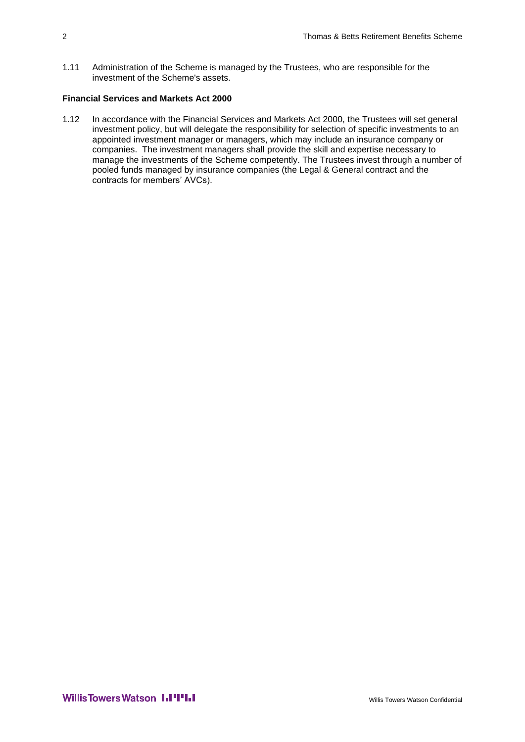1.11 Administration of the Scheme is managed by the Trustees, who are responsible for the investment of the Scheme's assets.

#### **Financial Services and Markets Act 2000**

1.12 In accordance with the Financial Services and Markets Act 2000, the Trustees will set general investment policy, but will delegate the responsibility for selection of specific investments to an appointed investment manager or managers, which may include an insurance company or companies. The investment managers shall provide the skill and expertise necessary to manage the investments of the Scheme competently. The Trustees invest through a number of pooled funds managed by insurance companies (the Legal & General contract and the contracts for members' AVCs).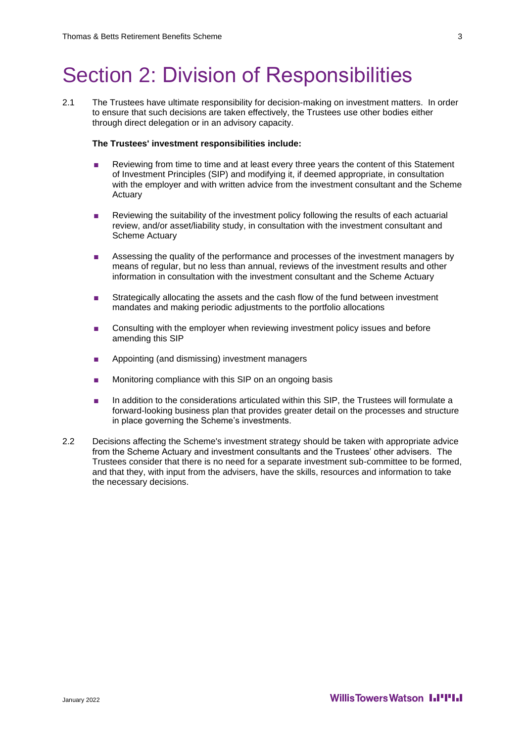### Section 2: Division of Responsibilities

2.1 The Trustees have ultimate responsibility for decision-making on investment matters. In order to ensure that such decisions are taken effectively, the Trustees use other bodies either through direct delegation or in an advisory capacity.

#### **The Trustees' investment responsibilities include:**

- Reviewing from time to time and at least every three years the content of this Statement of Investment Principles (SIP) and modifying it, if deemed appropriate, in consultation with the employer and with written advice from the investment consultant and the Scheme Actuary
- Reviewing the suitability of the investment policy following the results of each actuarial review, and/or asset/liability study, in consultation with the investment consultant and Scheme Actuary
- Assessing the quality of the performance and processes of the investment managers by means of regular, but no less than annual, reviews of the investment results and other information in consultation with the investment consultant and the Scheme Actuary
- Strategically allocating the assets and the cash flow of the fund between investment mandates and making periodic adjustments to the portfolio allocations
- Consulting with the employer when reviewing investment policy issues and before amending this SIP
- Appointing (and dismissing) investment managers
- Monitoring compliance with this SIP on an ongoing basis
- In addition to the considerations articulated within this SIP, the Trustees will formulate a forward-looking business plan that provides greater detail on the processes and structure in place governing the Scheme's investments.
- 2.2 Decisions affecting the Scheme's investment strategy should be taken with appropriate advice from the Scheme Actuary and investment consultants and the Trustees' other advisers.The Trustees consider that there is no need for a separate investment sub-committee to be formed, and that they, with input from the advisers, have the skills, resources and information to take the necessary decisions.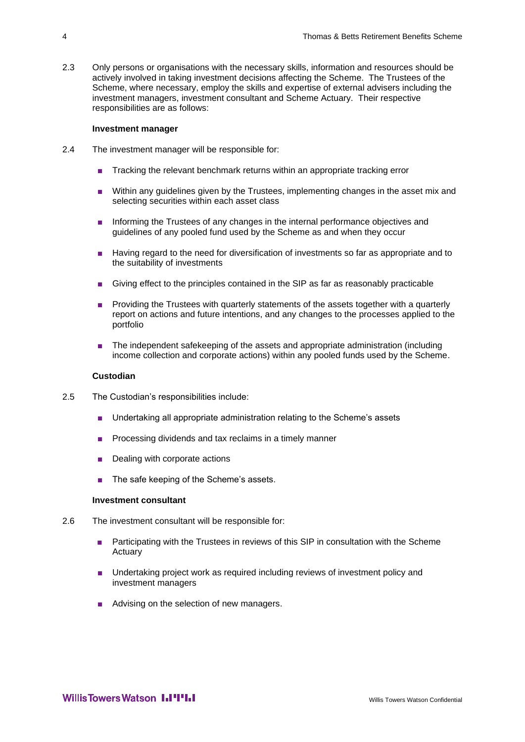2.3 Only persons or organisations with the necessary skills, information and resources should be actively involved in taking investment decisions affecting the Scheme. The Trustees of the Scheme, where necessary, employ the skills and expertise of external advisers including the investment managers, investment consultant and Scheme Actuary. Their respective responsibilities are as follows:

#### **Investment manager**

- 2.4 The investment manager will be responsible for:
	- Tracking the relevant benchmark returns within an appropriate tracking error
	- Within any guidelines given by the Trustees, implementing changes in the asset mix and selecting securities within each asset class
	- Informing the Trustees of any changes in the internal performance objectives and guidelines of any pooled fund used by the Scheme as and when they occur
	- Having regard to the need for diversification of investments so far as appropriate and to the suitability of investments
	- Giving effect to the principles contained in the SIP as far as reasonably practicable
	- Providing the Trustees with quarterly statements of the assets together with a quarterly report on actions and future intentions, and any changes to the processes applied to the portfolio
	- The independent safekeeping of the assets and appropriate administration (including income collection and corporate actions) within any pooled funds used by the Scheme.

#### **Custodian**

- 2.5 The Custodian's responsibilities include:
	- Undertaking all appropriate administration relating to the Scheme's assets
	- Processing dividends and tax reclaims in a timely manner
	- Dealing with corporate actions
	- The safe keeping of the Scheme's assets.

#### **Investment consultant**

- 2.6 The investment consultant will be responsible for:
	- Participating with the Trustees in reviews of this SIP in consultation with the Scheme Actuary
	- Undertaking project work as required including reviews of investment policy and investment managers
	- Advising on the selection of new managers.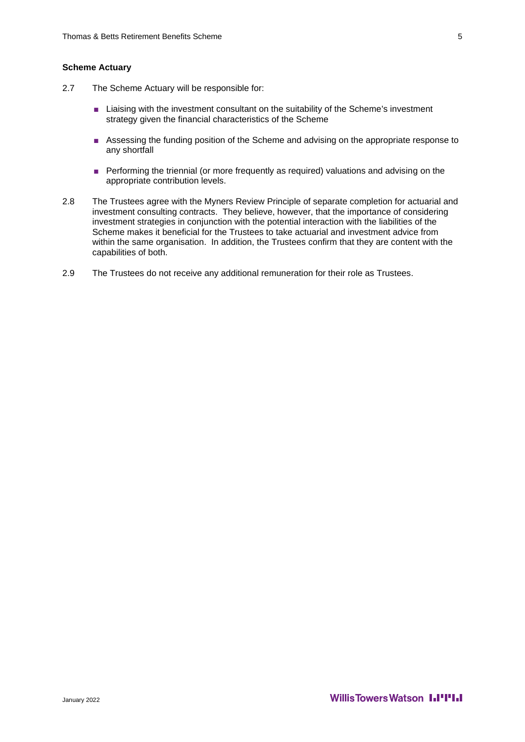#### **Scheme Actuary**

- 2.7 The Scheme Actuary will be responsible for:
	- Liaising with the investment consultant on the suitability of the Scheme's investment strategy given the financial characteristics of the Scheme
	- Assessing the funding position of the Scheme and advising on the appropriate response to any shortfall
	- Performing the triennial (or more frequently as required) valuations and advising on the appropriate contribution levels.
- 2.8 The Trustees agree with the Myners Review Principle of separate completion for actuarial and investment consulting contracts. They believe, however, that the importance of considering investment strategies in conjunction with the potential interaction with the liabilities of the Scheme makes it beneficial for the Trustees to take actuarial and investment advice from within the same organisation. In addition, the Trustees confirm that they are content with the capabilities of both.
- 2.9 The Trustees do not receive any additional remuneration for their role as Trustees.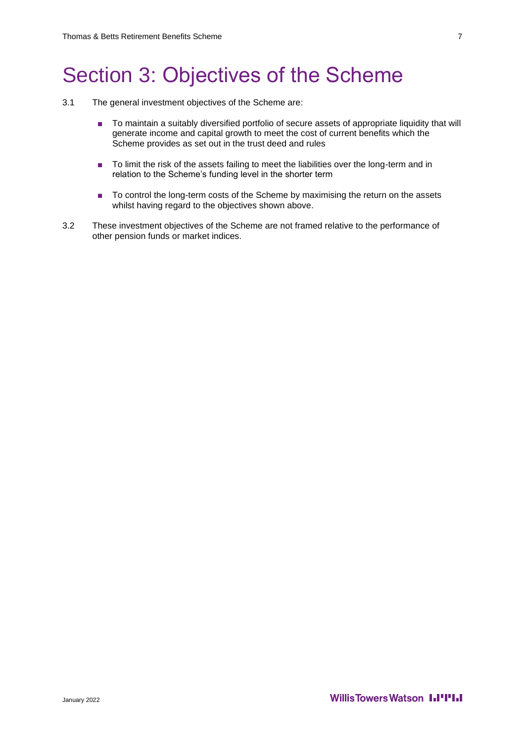### Section 3: Objectives of the Scheme

- 3.1 The general investment objectives of the Scheme are:
	- To maintain a suitably diversified portfolio of secure assets of appropriate liquidity that will generate income and capital growth to meet the cost of current benefits which the Scheme provides as set out in the trust deed and rules
	- To limit the risk of the assets failing to meet the liabilities over the long-term and in relation to the Scheme's funding level in the shorter term
	- To control the long-term costs of the Scheme by maximising the return on the assets whilst having regard to the objectives shown above.
- 3.2 These investment objectives of the Scheme are not framed relative to the performance of other pension funds or market indices.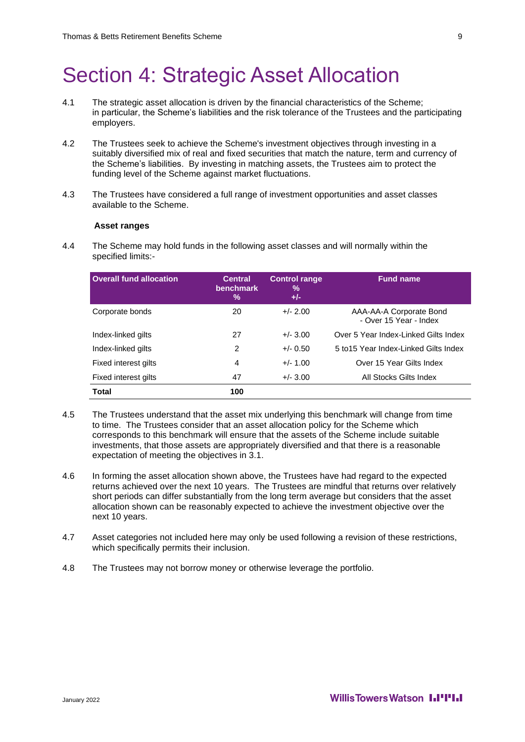### Section 4: Strategic Asset Allocation

- 4.1 The strategic asset allocation is driven by the financial characteristics of the Scheme; in particular, the Scheme's liabilities and the risk tolerance of the Trustees and the participating employers.
- 4.2 The Trustees seek to achieve the Scheme's investment objectives through investing in a suitably diversified mix of real and fixed securities that match the nature, term and currency of the Scheme's liabilities. By investing in matching assets, the Trustees aim to protect the funding level of the Scheme against market fluctuations.
- 4.3 The Trustees have considered a full range of investment opportunities and asset classes available to the Scheme.

#### **Asset ranges**

4.4 The Scheme may hold funds in the following asset classes and will normally within the specified limits:-

| <b>Overall fund allocation</b> | <b>Central</b><br>benchmark<br>$\frac{0}{0}$ | <b>Control range</b><br>%<br>$+/-$ | <b>Fund name</b>                                  |
|--------------------------------|----------------------------------------------|------------------------------------|---------------------------------------------------|
| Corporate bonds                | 20                                           | $+/- 2.00$                         | AAA-AA-A Corporate Bond<br>- Over 15 Year - Index |
| Index-linked gilts             | 27                                           | $+/- 3.00$                         | Over 5 Year Index-Linked Gilts Index              |
| Index-linked gilts             | 2                                            | $+/- 0.50$                         | 5 to 15 Year Index-Linked Gilts Index             |
| Fixed interest gilts           | 4                                            | $+/- 1.00$                         | Over 15 Year Gilts Index                          |
| Fixed interest gilts           | 47                                           | $+/- 3.00$                         | All Stocks Gilts Index                            |
| Total                          | 100                                          |                                    |                                                   |

- 4.5 The Trustees understand that the asset mix underlying this benchmark will change from time to time. The Trustees consider that an asset allocation policy for the Scheme which corresponds to this benchmark will ensure that the assets of the Scheme include suitable investments, that those assets are appropriately diversified and that there is a reasonable expectation of meeting the objectives in 3.1.
- 4.6 In forming the asset allocation shown above, the Trustees have had regard to the expected returns achieved over the next 10 years. The Trustees are mindful that returns over relatively short periods can differ substantially from the long term average but considers that the asset allocation shown can be reasonably expected to achieve the investment objective over the next 10 years.
- 4.7 Asset categories not included here may only be used following a revision of these restrictions, which specifically permits their inclusion.
- 4.8 The Trustees may not borrow money or otherwise leverage the portfolio.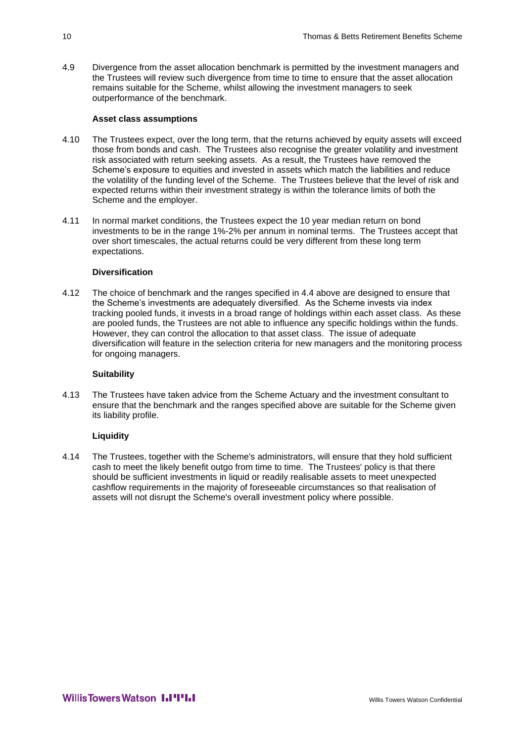4.9 Divergence from the asset allocation benchmark is permitted by the investment managers and the Trustees will review such divergence from time to time to ensure that the asset allocation remains suitable for the Scheme, whilst allowing the investment managers to seek outperformance of the benchmark.

#### **Asset class assumptions**

- 4.10 The Trustees expect, over the long term, that the returns achieved by equity assets will exceed those from bonds and cash. The Trustees also recognise the greater volatility and investment risk associated with return seeking assets. As a result, the Trustees have removed the Scheme's exposure to equities and invested in assets which match the liabilities and reduce the volatility of the funding level of the Scheme. The Trustees believe that the level of risk and expected returns within their investment strategy is within the tolerance limits of both the Scheme and the employer.
- 4.11 In normal market conditions, the Trustees expect the 10 year median return on bond investments to be in the range 1%-2% per annum in nominal terms. The Trustees accept that over short timescales, the actual returns could be very different from these long term expectations.

#### **Diversification**

4.12 The choice of benchmark and the ranges specified in 4.4 above are designed to ensure that the Scheme's investments are adequately diversified. As the Scheme invests via index tracking pooled funds, it invests in a broad range of holdings within each asset class. As these are pooled funds, the Trustees are not able to influence any specific holdings within the funds. However, they can control the allocation to that asset class. The issue of adequate diversification will feature in the selection criteria for new managers and the monitoring process for ongoing managers.

#### **Suitability**

4.13 The Trustees have taken advice from the Scheme Actuary and the investment consultant to ensure that the benchmark and the ranges specified above are suitable for the Scheme given its liability profile.

#### **Liquidity**

4.14 The Trustees, together with the Scheme's administrators, will ensure that they hold sufficient cash to meet the likely benefit outgo from time to time. The Trustees' policy is that there should be sufficient investments in liquid or readily realisable assets to meet unexpected cashflow requirements in the majority of foreseeable circumstances so that realisation of assets will not disrupt the Scheme's overall investment policy where possible.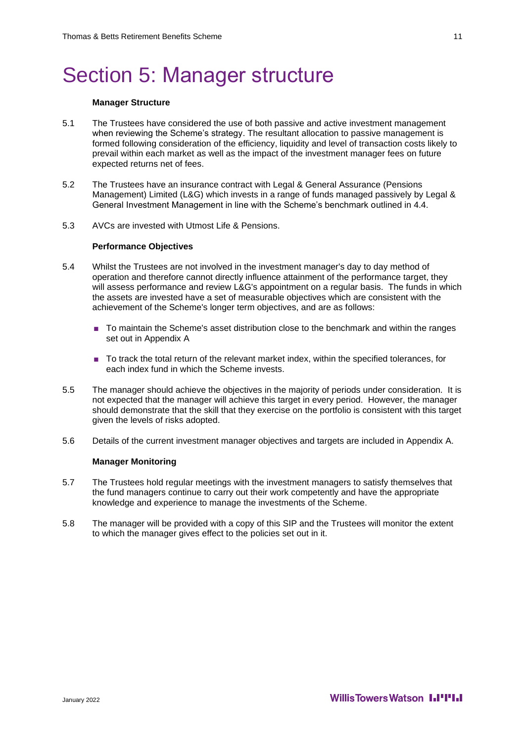### Section 5: Manager structure

#### **Manager Structure**

- 5.1 The Trustees have considered the use of both passive and active investment management when reviewing the Scheme's strategy. The resultant allocation to passive management is formed following consideration of the efficiency, liquidity and level of transaction costs likely to prevail within each market as well as the impact of the investment manager fees on future expected returns net of fees.
- 5.2 The Trustees have an insurance contract with Legal & General Assurance (Pensions Management) Limited (L&G) which invests in a range of funds managed passively by Legal & General Investment Management in line with the Scheme's benchmark outlined in 4.4.
- 5.3 AVCs are invested with Utmost Life & Pensions.

#### **Performance Objectives**

- 5.4 Whilst the Trustees are not involved in the investment manager's day to day method of operation and therefore cannot directly influence attainment of the performance target, they will assess performance and review L&G's appointment on a regular basis. The funds in which the assets are invested have a set of measurable objectives which are consistent with the achievement of the Scheme's longer term objectives, and are as follows:
	- To maintain the Scheme's asset distribution close to the benchmark and within the ranges set out in Appendix A
	- To track the total return of the relevant market index, within the specified tolerances, for each index fund in which the Scheme invests.
- 5.5 The manager should achieve the objectives in the majority of periods under consideration. It is not expected that the manager will achieve this target in every period. However, the manager should demonstrate that the skill that they exercise on the portfolio is consistent with this target given the levels of risks adopted.
- 5.6 Details of the current investment manager objectives and targets are included in Appendix A.

#### **Manager Monitoring**

- 5.7 The Trustees hold regular meetings with the investment managers to satisfy themselves that the fund managers continue to carry out their work competently and have the appropriate knowledge and experience to manage the investments of the Scheme.
- 5.8 The manager will be provided with a copy of this SIP and the Trustees will monitor the extent to which the manager gives effect to the policies set out in it.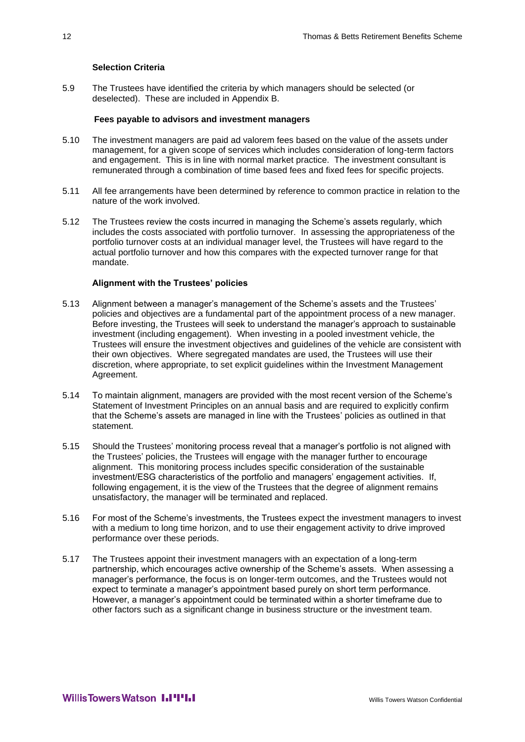#### **Selection Criteria**

5.9 The Trustees have identified the criteria by which managers should be selected (or deselected). These are included in Appendix B.

#### **Fees payable to advisors and investment managers**

- 5.10 The investment managers are paid ad valorem fees based on the value of the assets under management, for a given scope of services which includes consideration of long-term factors and engagement. This is in line with normal market practice. The investment consultant is remunerated through a combination of time based fees and fixed fees for specific projects.
- 5.11 All fee arrangements have been determined by reference to common practice in relation to the nature of the work involved.
- 5.12 The Trustees review the costs incurred in managing the Scheme's assets regularly, which includes the costs associated with portfolio turnover. In assessing the appropriateness of the portfolio turnover costs at an individual manager level, the Trustees will have regard to the actual portfolio turnover and how this compares with the expected turnover range for that mandate.

#### **Alignment with the Trustees' policies**

- 5.13 Alignment between a manager's management of the Scheme's assets and the Trustees' policies and objectives are a fundamental part of the appointment process of a new manager. Before investing, the Trustees will seek to understand the manager's approach to sustainable investment (including engagement). When investing in a pooled investment vehicle, the Trustees will ensure the investment objectives and guidelines of the vehicle are consistent with their own objectives. Where segregated mandates are used, the Trustees will use their discretion, where appropriate, to set explicit guidelines within the Investment Management Agreement.
- 5.14 To maintain alignment, managers are provided with the most recent version of the Scheme's Statement of Investment Principles on an annual basis and are required to explicitly confirm that the Scheme's assets are managed in line with the Trustees' policies as outlined in that statement.
- 5.15 Should the Trustees' monitoring process reveal that a manager's portfolio is not aligned with the Trustees' policies, the Trustees will engage with the manager further to encourage alignment. This monitoring process includes specific consideration of the sustainable investment/ESG characteristics of the portfolio and managers' engagement activities. If, following engagement, it is the view of the Trustees that the degree of alignment remains unsatisfactory, the manager will be terminated and replaced.
- 5.16 For most of the Scheme's investments, the Trustees expect the investment managers to invest with a medium to long time horizon, and to use their engagement activity to drive improved performance over these periods.
- 5.17 The Trustees appoint their investment managers with an expectation of a long-term partnership, which encourages active ownership of the Scheme's assets. When assessing a manager's performance, the focus is on longer-term outcomes, and the Trustees would not expect to terminate a manager's appointment based purely on short term performance. However, a manager's appointment could be terminated within a shorter timeframe due to other factors such as a significant change in business structure or the investment team.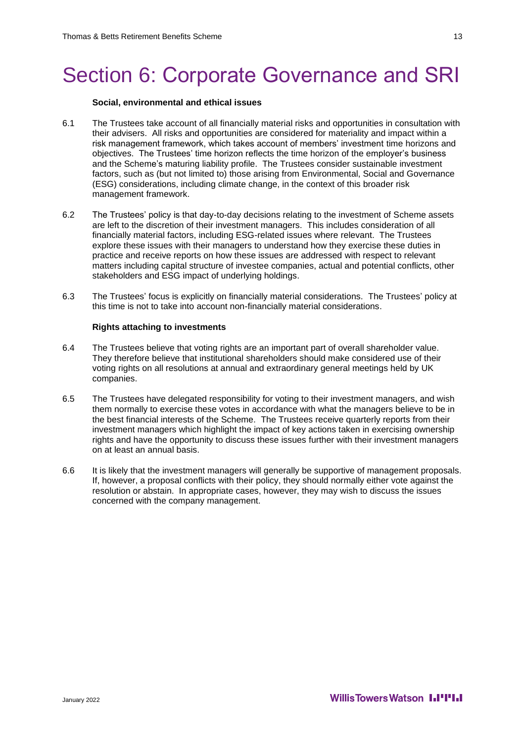## Section 6: Corporate Governance and SRI

#### **Social, environmental and ethical issues**

- 6.1 The Trustees take account of all financially material risks and opportunities in consultation with their advisers. All risks and opportunities are considered for materiality and impact within a risk management framework, which takes account of members' investment time horizons and objectives. The Trustees' time horizon reflects the time horizon of the employer's business and the Scheme's maturing liability profile. The Trustees consider sustainable investment factors, such as (but not limited to) those arising from Environmental, Social and Governance (ESG) considerations, including climate change, in the context of this broader risk management framework.
- 6.2 The Trustees' policy is that day-to-day decisions relating to the investment of Scheme assets are left to the discretion of their investment managers. This includes consideration of all financially material factors, including ESG-related issues where relevant. The Trustees explore these issues with their managers to understand how they exercise these duties in practice and receive reports on how these issues are addressed with respect to relevant matters including capital structure of investee companies, actual and potential conflicts, other stakeholders and ESG impact of underlying holdings.
- 6.3 The Trustees' focus is explicitly on financially material considerations. The Trustees' policy at this time is not to take into account non-financially material considerations.

#### **Rights attaching to investments**

- 6.4 The Trustees believe that voting rights are an important part of overall shareholder value. They therefore believe that institutional shareholders should make considered use of their voting rights on all resolutions at annual and extraordinary general meetings held by UK companies.
- 6.5 The Trustees have delegated responsibility for voting to their investment managers, and wish them normally to exercise these votes in accordance with what the managers believe to be in the best financial interests of the Scheme. The Trustees receive quarterly reports from their investment managers which highlight the impact of key actions taken in exercising ownership rights and have the opportunity to discuss these issues further with their investment managers on at least an annual basis.
- 6.6 It is likely that the investment managers will generally be supportive of management proposals. If, however, a proposal conflicts with their policy, they should normally either vote against the resolution or abstain. In appropriate cases, however, they may wish to discuss the issues concerned with the company management.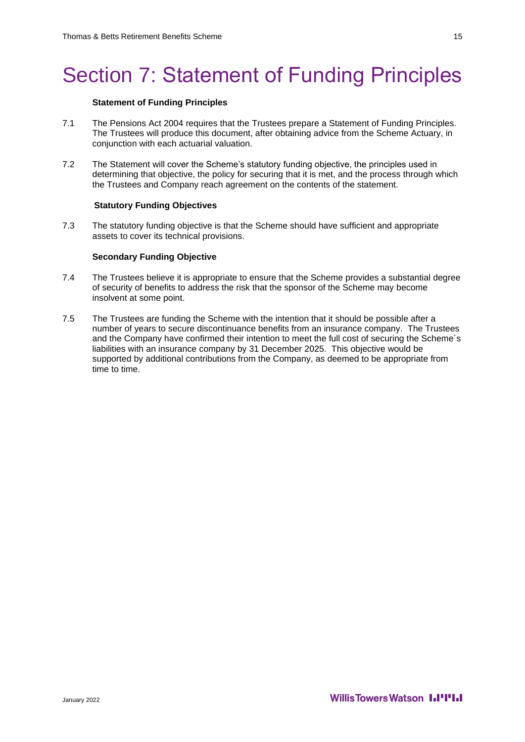# Section 7: Statement of Funding Principles

#### **Statement of Funding Principles**

- 7.1 The Pensions Act 2004 requires that the Trustees prepare a Statement of Funding Principles. The Trustees will produce this document, after obtaining advice from the Scheme Actuary, in conjunction with each actuarial valuation.
- 7.2 The Statement will cover the Scheme's statutory funding objective, the principles used in determining that objective, the policy for securing that it is met, and the process through which the Trustees and Company reach agreement on the contents of the statement.

#### **Statutory Funding Objectives**

7.3 The statutory funding objective is that the Scheme should have sufficient and appropriate assets to cover its technical provisions.

#### **Secondary Funding Objective**

- 7.4 The Trustees believe it is appropriate to ensure that the Scheme provides a substantial degree of security of benefits to address the risk that the sponsor of the Scheme may become insolvent at some point.
- 7.5 The Trustees are funding the Scheme with the intention that it should be possible after a number of years to secure discontinuance benefits from an insurance company. The Trustees and the Company have confirmed their intention to meet the full cost of securing the Scheme´s liabilities with an insurance company by 31 December 2025. This objective would be supported by additional contributions from the Company, as deemed to be appropriate from time to time.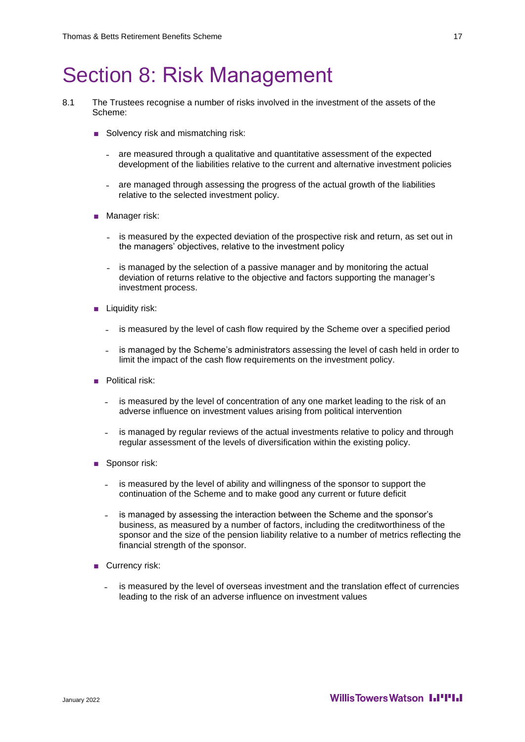### Section 8: Risk Management

- 8.1 The Trustees recognise a number of risks involved in the investment of the assets of the Scheme:
	- Solvency risk and mismatching risk:
		- ˗ are measured through a qualitative and quantitative assessment of the expected development of the liabilities relative to the current and alternative investment policies
		- are managed through assessing the progress of the actual growth of the liabilities relative to the selected investment policy.
	- Manager risk:
		- is measured by the expected deviation of the prospective risk and return, as set out in the managers' objectives, relative to the investment policy
		- is managed by the selection of a passive manager and by monitoring the actual deviation of returns relative to the objective and factors supporting the manager's investment process.
	- Liquidity risk:
		- is measured by the level of cash flow required by the Scheme over a specified period
		- is managed by the Scheme's administrators assessing the level of cash held in order to limit the impact of the cash flow requirements on the investment policy.
	- Political risk:
		- is measured by the level of concentration of any one market leading to the risk of an adverse influence on investment values arising from political intervention
		- ˗ is managed by regular reviews of the actual investments relative to policy and through regular assessment of the levels of diversification within the existing policy.
	- Sponsor risk:
		- ˗ is measured by the level of ability and willingness of the sponsor to support the continuation of the Scheme and to make good any current or future deficit
		- is managed by assessing the interaction between the Scheme and the sponsor's business, as measured by a number of factors, including the creditworthiness of the sponsor and the size of the pension liability relative to a number of metrics reflecting the financial strength of the sponsor.
	- Currency risk:
		- ˗ is measured by the level of overseas investment and the translation effect of currencies leading to the risk of an adverse influence on investment values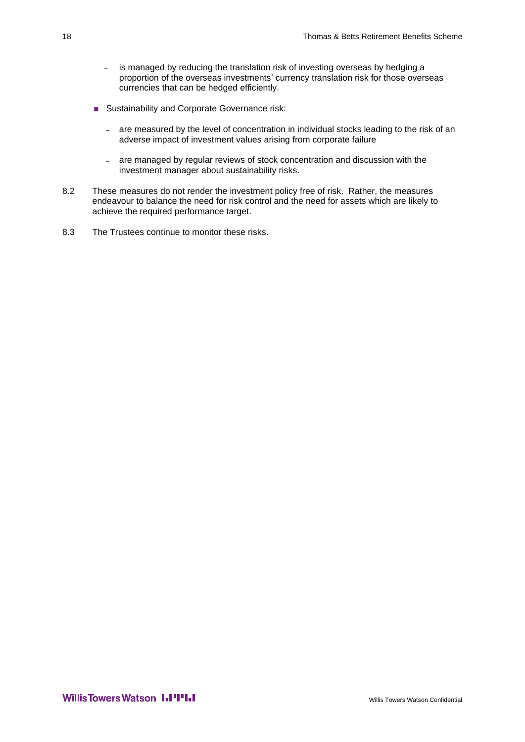- is managed by reducing the translation risk of investing overseas by hedging a proportion of the overseas investments' currency translation risk for those overseas currencies that can be hedged efficiently.
- Sustainability and Corporate Governance risk:
	- are measured by the level of concentration in individual stocks leading to the risk of an adverse impact of investment values arising from corporate failure
	- are managed by regular reviews of stock concentration and discussion with the investment manager about sustainability risks.
- 8.2 These measures do not render the investment policy free of risk. Rather, the measures endeavour to balance the need for risk control and the need for assets which are likely to achieve the required performance target.
- 8.3 The Trustees continue to monitor these risks.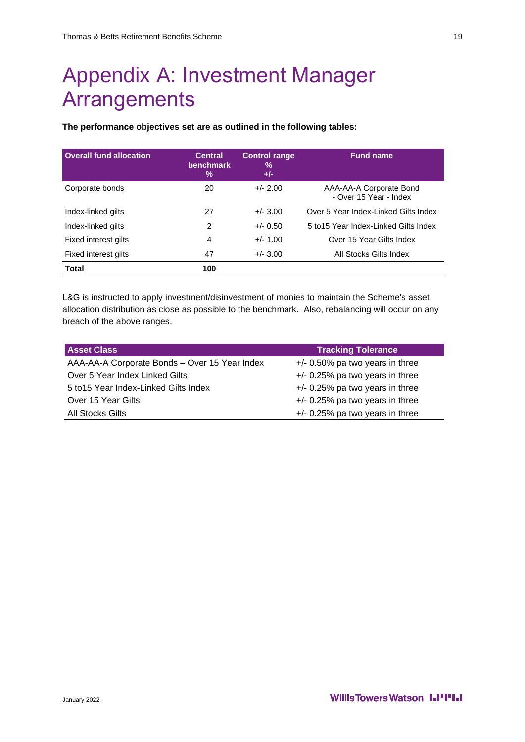### Appendix A: Investment Manager **Arrangements**

**The performance objectives set are as outlined in the following tables:** 

| <b>Overall fund allocation</b> | <b>Central</b><br>benchmark<br>$\frac{0}{0}$ | <b>Control range</b><br>%<br>$+/-$ | <b>Fund name</b>                                  |
|--------------------------------|----------------------------------------------|------------------------------------|---------------------------------------------------|
| Corporate bonds                | 20                                           | $+/- 2.00$                         | AAA-AA-A Corporate Bond<br>- Over 15 Year - Index |
| Index-linked gilts             | 27                                           | $+/- 3.00$                         | Over 5 Year Index-Linked Gilts Index              |
| Index-linked gilts             | 2                                            | $+/- 0.50$                         | 5 to 15 Year Index-Linked Gilts Index             |
| Fixed interest gilts           | 4                                            | $+/- 1.00$                         | Over 15 Year Gilts Index                          |
| Fixed interest gilts           | 47                                           | $+/- 3.00$                         | All Stocks Gilts Index                            |
| <b>Total</b>                   | 100                                          |                                    |                                                   |

L&G is instructed to apply investment/disinvestment of monies to maintain the Scheme's asset allocation distribution as close as possible to the benchmark. Also, rebalancing will occur on any breach of the above ranges.

| <b>Asset Class</b>                            | <b>Tracking Tolerance</b>         |
|-----------------------------------------------|-----------------------------------|
| AAA-AA-A Corporate Bonds - Over 15 Year Index | $+/-$ 0.50% pa two years in three |
| Over 5 Year Index Linked Gilts                | $+/-$ 0.25% pa two years in three |
| 5 to 15 Year Index-Linked Gilts Index         | $+/-$ 0.25% pa two years in three |
| Over 15 Year Gilts                            | $+/-$ 0.25% pa two years in three |
| All Stocks Gilts                              | $+/-$ 0.25% pa two years in three |